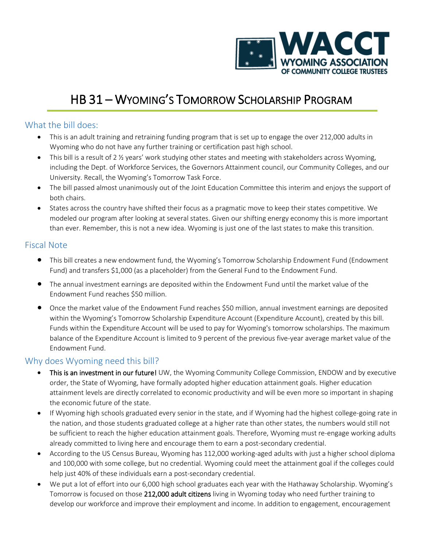

# HB 31 – WYOMING'S TOMORROW SCHOLARSHIP PROGRAM

### What the bill does:

- This is an adult training and retraining funding program that is set up to engage the over 212,000 adults in Wyoming who do not have any further training or certification past high school.
- This bill is a result of 2 ½ years' work studying other states and meeting with stakeholders across Wyoming, including the Dept. of Workforce Services, the Governors Attainment council, our Community Colleges, and our University. Recall, the Wyoming's Tomorrow Task Force.
- The bill passed almost unanimously out of the Joint Education Committee this interim and enjoys the support of both chairs.
- States across the country have shifted their focus as a pragmatic move to keep their states competitive. We modeled our program after looking at several states. Given our shifting energy economy this is more important than ever. Remember, this is not a new idea. Wyoming is just one of the last states to make this transition.

### Fiscal Note

- This bill creates a new endowment fund, the Wyoming's Tomorrow Scholarship Endowment Fund (Endowment Fund) and transfers \$1,000 (as a placeholder) from the General Fund to the Endowment Fund.
- The annual investment earnings are deposited within the Endowment Fund until the market value of the Endowment Fund reaches \$50 million.
- Once the market value of the Endowment Fund reaches \$50 million, annual investment earnings are deposited within the Wyoming's Tomorrow Scholarship Expenditure Account (Expenditure Account), created by this bill. Funds within the Expenditure Account will be used to pay for Wyoming's tomorrow scholarships. The maximum balance of the Expenditure Account is limited to 9 percent of the previous five-year average market value of the Endowment Fund.

## Why does Wyoming need this bill?

- This is an investment in our future! UW, the Wyoming Community College Commission, ENDOW and by executive order, the State of Wyoming, have formally adopted higher education attainment goals. Higher education attainment levels are directly correlated to economic productivity and will be even more so important in shaping the economic future of the state.
- If Wyoming high schools graduated every senior in the state, and if Wyoming had the highest college-going rate in the nation, and those students graduated college at a higher rate than other states, the numbers would still not be sufficient to reach the higher education attainment goals. Therefore, Wyoming must re-engage working adults already committed to living here and encourage them to earn a post-secondary credential.
- According to the US Census Bureau, Wyoming has 112,000 working-aged adults with just a higher school diploma and 100,000 with some college, but no credential. Wyoming could meet the attainment goal if the colleges could help just 40% of these individuals earn a post-secondary credential.
- We put a lot of effort into our 6,000 high school graduates each year with the Hathaway Scholarship. Wyoming's Tomorrow is focused on those 212,000 adult citizens living in Wyoming today who need further training to develop our workforce and improve their employment and income. In addition to engagement, encouragement